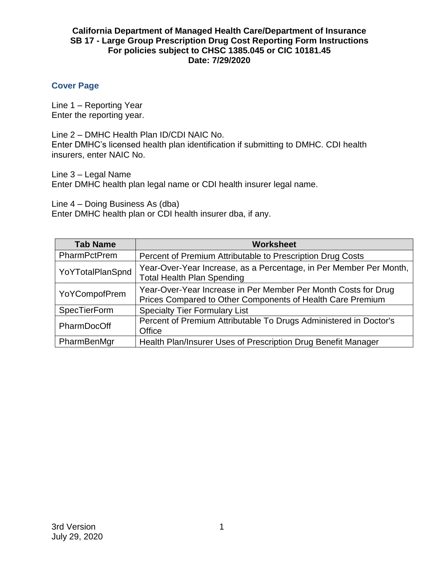# **Cover Page**

Line 1 – Reporting Year Enter the reporting year.

Line 2 – DMHC Health Plan ID/CDI NAIC No. Enter DMHC's licensed health plan identification if submitting to DMHC. CDI health insurers, enter NAIC No.

Line 3 – Legal Name

Enter DMHC health plan legal name or CDI health insurer legal name.

Line 4 – Doing Business As (dba) Enter DMHC health plan or CDI health insurer dba, if any.

| <b>Tab Name</b>     | <b>Worksheet</b>                                                                                                             |
|---------------------|------------------------------------------------------------------------------------------------------------------------------|
| PharmPctPrem        | Percent of Premium Attributable to Prescription Drug Costs                                                                   |
| YoYTotalPlanSpnd    | Year-Over-Year Increase, as a Percentage, in Per Member Per Month,<br><b>Total Health Plan Spending</b>                      |
| YoYCompofPrem       | Year-Over-Year Increase in Per Member Per Month Costs for Drug<br>Prices Compared to Other Components of Health Care Premium |
| <b>SpecTierForm</b> | <b>Specialty Tier Formulary List</b>                                                                                         |
| PharmDocOff         | Percent of Premium Attributable To Drugs Administered in Doctor's<br>Office                                                  |
| PharmBenMgr         | Health Plan/Insurer Uses of Prescription Drug Benefit Manager                                                                |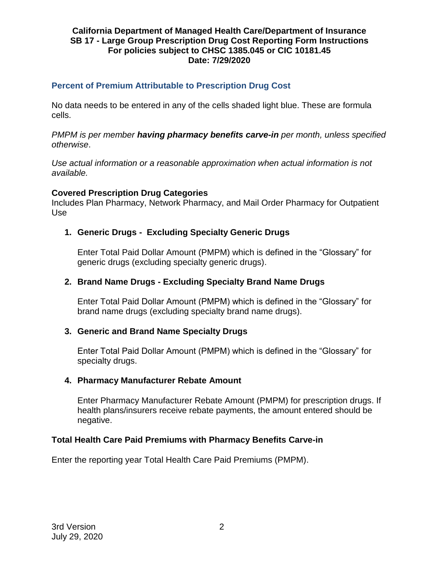# **Percent of Premium Attributable to Prescription Drug Cost**

No data needs to be entered in any of the cells shaded light blue. These are formula cells.

*PMPM is per member having pharmacy benefits carve-in per month, unless specified otherwise*.

*Use actual information or a reasonable approximation when actual information is not available.*

### **Covered Prescription Drug Categories**

Includes Plan Pharmacy, Network Pharmacy, and Mail Order Pharmacy for Outpatient Use

# **1. Generic Drugs - Excluding Specialty Generic Drugs**

Enter Total Paid Dollar Amount (PMPM) which is defined in the "Glossary" for generic drugs (excluding specialty generic drugs).

# **2. Brand Name Drugs - Excluding Specialty Brand Name Drugs**

Enter Total Paid Dollar Amount (PMPM) which is defined in the "Glossary" for brand name drugs (excluding specialty brand name drugs).

### **3. Generic and Brand Name Specialty Drugs**

Enter Total Paid Dollar Amount (PMPM) which is defined in the "Glossary" for specialty drugs.

### **4. Pharmacy Manufacturer Rebate Amount**

Enter Pharmacy Manufacturer Rebate Amount (PMPM) for prescription drugs. If health plans/insurers receive rebate payments, the amount entered should be negative.

# **Total Health Care Paid Premiums with Pharmacy Benefits Carve-in**

Enter the reporting year Total Health Care Paid Premiums (PMPM).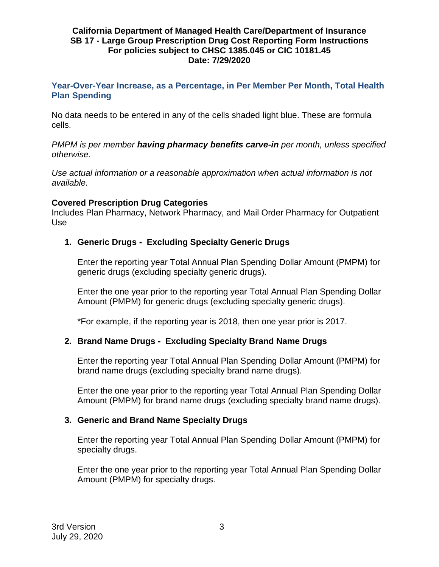**Year-Over-Year Increase, as a Percentage, in Per Member Per Month, Total Health Plan Spending**

No data needs to be entered in any of the cells shaded light blue. These are formula cells.

*PMPM is per member having pharmacy benefits carve-in per month, unless specified otherwise.*

*Use actual information or a reasonable approximation when actual information is not available.*

# **Covered Prescription Drug Categories**

Includes Plan Pharmacy, Network Pharmacy, and Mail Order Pharmacy for Outpatient Use

# **1. Generic Drugs - Excluding Specialty Generic Drugs**

Enter the reporting year Total Annual Plan Spending Dollar Amount (PMPM) for generic drugs (excluding specialty generic drugs).

Enter the one year prior to the reporting year Total Annual Plan Spending Dollar Amount (PMPM) for generic drugs (excluding specialty generic drugs).

\*For example, if the reporting year is 2018, then one year prior is 2017.

# **2. Brand Name Drugs - Excluding Specialty Brand Name Drugs**

Enter the reporting year Total Annual Plan Spending Dollar Amount (PMPM) for brand name drugs (excluding specialty brand name drugs).

Enter the one year prior to the reporting year Total Annual Plan Spending Dollar Amount (PMPM) for brand name drugs (excluding specialty brand name drugs).

### **3. Generic and Brand Name Specialty Drugs**

Enter the reporting year Total Annual Plan Spending Dollar Amount (PMPM) for specialty drugs.

Enter the one year prior to the reporting year Total Annual Plan Spending Dollar Amount (PMPM) for specialty drugs.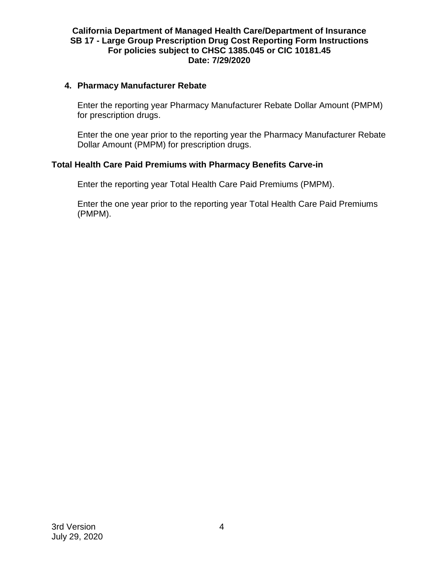### **4. Pharmacy Manufacturer Rebate**

Enter the reporting year Pharmacy Manufacturer Rebate Dollar Amount (PMPM) for prescription drugs.

Enter the one year prior to the reporting year the Pharmacy Manufacturer Rebate Dollar Amount (PMPM) for prescription drugs.

# **Total Health Care Paid Premiums with Pharmacy Benefits Carve-in**

Enter the reporting year Total Health Care Paid Premiums (PMPM).

Enter the one year prior to the reporting year Total Health Care Paid Premiums (PMPM).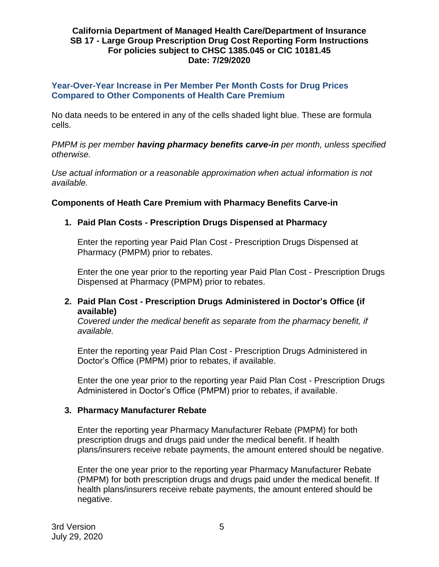### **Year-Over-Year Increase in Per Member Per Month Costs for Drug Prices Compared to Other Components of Health Care Premium**

No data needs to be entered in any of the cells shaded light blue. These are formula cells.

*PMPM is per member having pharmacy benefits carve-in per month, unless specified otherwise.*

*Use actual information or a reasonable approximation when actual information is not available.*

# **Components of Heath Care Premium with Pharmacy Benefits Carve-in**

# **1. Paid Plan Costs - Prescription Drugs Dispensed at Pharmacy**

Enter the reporting year Paid Plan Cost - Prescription Drugs Dispensed at Pharmacy (PMPM) prior to rebates.

Enter the one year prior to the reporting year Paid Plan Cost - Prescription Drugs Dispensed at Pharmacy (PMPM) prior to rebates.

# **2. Paid Plan Cost - Prescription Drugs Administered in Doctor's Office (if available)**

*Covered under the medical benefit as separate from the pharmacy benefit, if available.*

Enter the reporting year Paid Plan Cost - Prescription Drugs Administered in Doctor's Office (PMPM) prior to rebates, if available.

Enter the one year prior to the reporting year Paid Plan Cost - Prescription Drugs Administered in Doctor's Office (PMPM) prior to rebates, if available.

### **3. Pharmacy Manufacturer Rebate**

Enter the reporting year Pharmacy Manufacturer Rebate (PMPM) for both prescription drugs and drugs paid under the medical benefit. If health plans/insurers receive rebate payments, the amount entered should be negative.

Enter the one year prior to the reporting year Pharmacy Manufacturer Rebate (PMPM) for both prescription drugs and drugs paid under the medical benefit. If health plans/insurers receive rebate payments, the amount entered should be negative.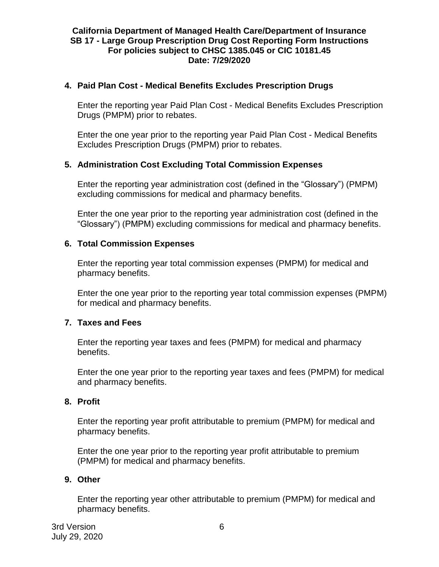# **4. Paid Plan Cost - Medical Benefits Excludes Prescription Drugs**

Enter the reporting year Paid Plan Cost - Medical Benefits Excludes Prescription Drugs (PMPM) prior to rebates.

Enter the one year prior to the reporting year Paid Plan Cost - Medical Benefits Excludes Prescription Drugs (PMPM) prior to rebates.

# **5. Administration Cost Excluding Total Commission Expenses**

Enter the reporting year administration cost (defined in the "Glossary") (PMPM) excluding commissions for medical and pharmacy benefits.

Enter the one year prior to the reporting year administration cost (defined in the "Glossary") (PMPM) excluding commissions for medical and pharmacy benefits.

# **6. Total Commission Expenses**

Enter the reporting year total commission expenses (PMPM) for medical and pharmacy benefits.

Enter the one year prior to the reporting year total commission expenses (PMPM) for medical and pharmacy benefits.

### **7. Taxes and Fees**

Enter the reporting year taxes and fees (PMPM) for medical and pharmacy benefits.

Enter the one year prior to the reporting year taxes and fees (PMPM) for medical and pharmacy benefits.

### **8. Profit**

Enter the reporting year profit attributable to premium (PMPM) for medical and pharmacy benefits.

Enter the one year prior to the reporting year profit attributable to premium (PMPM) for medical and pharmacy benefits.

### **9. Other**

Enter the reporting year other attributable to premium (PMPM) for medical and pharmacy benefits.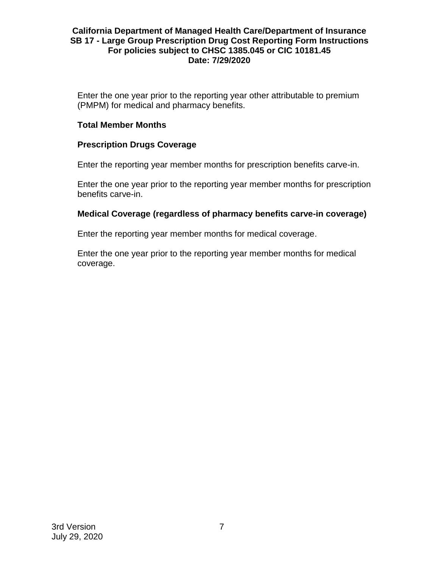Enter the one year prior to the reporting year other attributable to premium (PMPM) for medical and pharmacy benefits.

### **Total Member Months**

# **Prescription Drugs Coverage**

Enter the reporting year member months for prescription benefits carve-in.

Enter the one year prior to the reporting year member months for prescription benefits carve-in.

# **Medical Coverage (regardless of pharmacy benefits carve-in coverage)**

Enter the reporting year member months for medical coverage.

Enter the one year prior to the reporting year member months for medical coverage.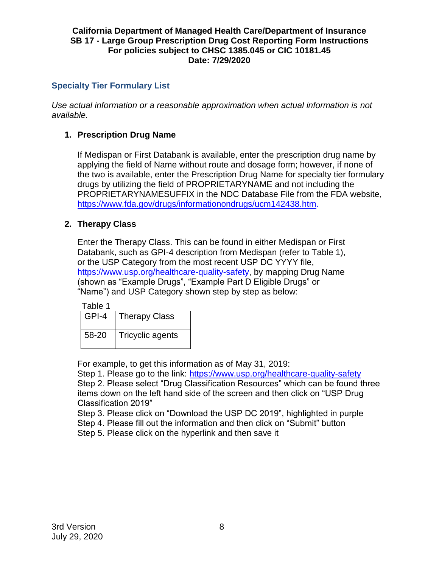# **Specialty Tier Formulary List**

*Use actual information or a reasonable approximation when actual information is not available.*

# **1. Prescription Drug Name**

If Medispan or First Databank is available, enter the prescription drug name by applying the field of Name without route and dosage form; however, if none of the two is available, enter the Prescription Drug Name for specialty tier formulary drugs by utilizing the field of PROPRIETARYNAME and not including the PROPRIETARYNAMESUFFIX in the NDC Database File from the FDA website, [https://www.fda.gov/drugs/informationondrugs/ucm142438.htm.](https://www.fda.gov/drugs/informationondrugs/ucm142438.htm)

# **2. Therapy Class**

Enter the Therapy Class. This can be found in either Medispan or First Databank, such as GPI-4 description from Medispan (refer to Table 1), or the USP Category from the most recent USP DC YYYY file, [https://www.usp.org/healthcare-quality-safety,](https://www.usp.org/healthcare-quality-safety) by mapping Drug Name (shown as "Example Drugs", "Example Part D Eligible Drugs" or "Name") and USP Category shown step by step as below:

| ablı |
|------|
|------|

| GPI-4 | <b>Therapy Class</b> |
|-------|----------------------|
| 58-20 | Tricyclic agents     |

For example, to get this information as of May 31, 2019:

Step 1. Please go to the link:<https://www.usp.org/healthcare-quality-safety> Step 2. Please select "Drug Classification Resources" which can be found three items down on the left hand side of the screen and then click on "USP Drug Classification 2019"

Step 3. Please click on "Download the USP DC 2019", highlighted in purple

Step 4. Please fill out the information and then click on "Submit" button

Step 5. Please click on the hyperlink and then save it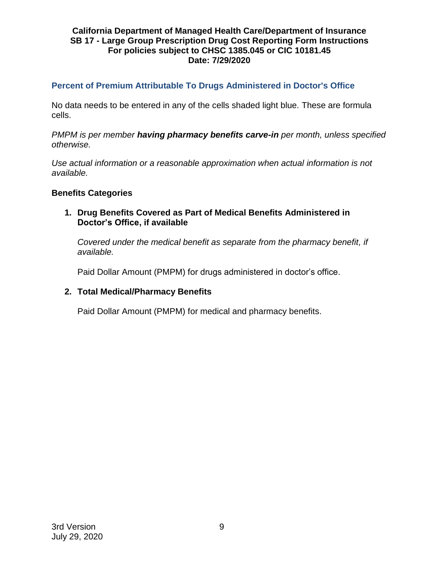# **Percent of Premium Attributable To Drugs Administered in Doctor's Office**

No data needs to be entered in any of the cells shaded light blue. These are formula cells.

*PMPM is per member having pharmacy benefits carve-in per month, unless specified otherwise.*

*Use actual information or a reasonable approximation when actual information is not available.*

### **Benefits Categories**

**1. Drug Benefits Covered as Part of Medical Benefits Administered in Doctor's Office, if available**

*Covered under the medical benefit as separate from the pharmacy benefit, if available.*

Paid Dollar Amount (PMPM) for drugs administered in doctor's office.

### **2. Total Medical/Pharmacy Benefits**

Paid Dollar Amount (PMPM) for medical and pharmacy benefits.